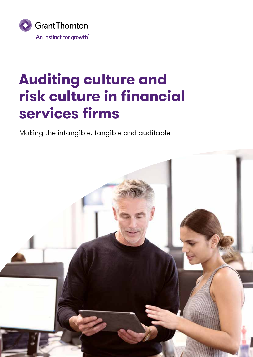

# **Auditing culture and risk culture in financial services firms**

Making the intangible, tangible and auditable

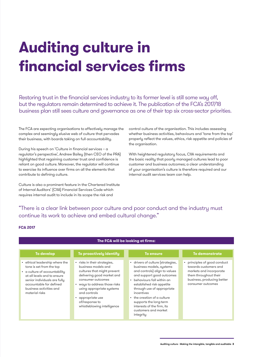# **Auditing culture in financial services firms**

Restoring trust in the financial services industry to its former level is still some way off, but the regulators remain determined to achieve it. The publication of the FCA's 2017/18 business plan still sees culture and governance as one of their top six cross-sector priorities.

The FCA are expecting organisations to effectively manage the complex and seemingly elusive web of culture that pervades their business, with boards taking on full accountability.

During his speech on 'Culture in financial services – a regulator's perspective', Andrew Bailey (then CEO of the PRA) highlighted that regaining customer trust and confidence is reliant on good culture. Moreover, the regulator will continue to exercise its influence over firms on all the elements that contribute to defining culture.

Culture is also a prominent feature in the Chartered Institute of Internal Auditors' (CIIA) Financial Services Code which requires internal audit to include in its scope the risk and

control culture of the organisation. This includes assessing whether business activities, behaviours and 'tone from the top' properly reflect the values, ethics, risk appetite and policies of the organisation.

With heightened regulatory focus, CIIA requirements and the basic reality that poorly managed cultures lead to poor customer and business outcomes; a clear understanding of your organisation's culture is therefore required and our internal audit services team can help.

"There is a clear link between poor culture and poor conduct and the industry must continue its work to achieve and embed cultural change."

### **FCA 2017**

| <b>To develop</b>                                                                                                                                                                                                                  | To proactively identify                                                                                                                                                                                                                                                                 | <b>To ensure</b>                                                                                                                                                                                                                                                                                                                                                           | To demonstrate                                                                                                                                             |
|------------------------------------------------------------------------------------------------------------------------------------------------------------------------------------------------------------------------------------|-----------------------------------------------------------------------------------------------------------------------------------------------------------------------------------------------------------------------------------------------------------------------------------------|----------------------------------------------------------------------------------------------------------------------------------------------------------------------------------------------------------------------------------------------------------------------------------------------------------------------------------------------------------------------------|------------------------------------------------------------------------------------------------------------------------------------------------------------|
| • ethical leadership where the<br>tone is set from the top<br>• a culture of accountability<br>at all levels and to ensure<br>senior individuals are fully<br>accountable for defined<br>business activities and<br>material risks | • risks in their strategies,<br>business models and<br>cultures that might prevent<br>delivering good market and<br>consumer outcomes<br>• ways to address those risks<br>using appropriate systems<br>and controls<br>appropriate use<br>of/response to<br>whistleblowing intelligence | drivers of culture (strategies,<br>$\bullet$<br>business models, systems<br>and controls) align to values<br>and support good outcomes<br>• behaviours fall within an<br>established risk appetite<br>through use of appropriate<br>incentives<br>• the creation of a culture<br>supports the long-term<br>interests of the firm, its<br>customers and market<br>integrity | principles of good conduct<br>towards customers and<br>markets and incorporate<br>them throughout their<br>business, producing better<br>consumer outcomes |

### **The FCA will be looking at firms:**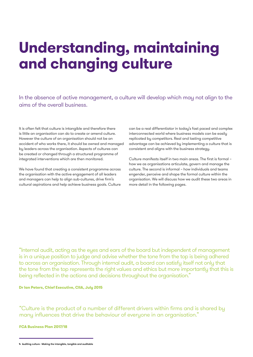# **Understanding, maintaining and changing culture**

In the absence of active management, a culture will develop which may not align to the aims of the overall business.

It is often felt that culture is intangible and therefore there is little an organisation can do to create or amend culture. However the culture of an organisation should not be an accident of who works there, it should be owned and managed by leaders across the organisation. Aspects of cultures can be created or changed through a structured programme of integrated interventions which are then monitored.

We have found that creating a consistent programme across the organisation with the active engagement of all leaders and managers can help to align sub-cultures, drive firm's cultural aspirations and help achieve business goals. Culture can be a real differentiator in today's fast paced and complex interconnected world where business models can be easily replicated by competitors. Real and lasting competitive advantage can be achieved by implementing a culture that is consistent and aligns with the business strategy.

Culture manifests itself in two main areas. The first is formal – how we as organisations articulate, govern and manage the culture. The second is informal – how individuals and teams engender, perceive and shape the formal culture within the organisation. We will discuss how we audit these two areas in more detail in the following pages.

"Internal audit, acting as the eyes and ears of the board but independent of management is in a unique position to judge and advise whether the tone from the top is being adhered to across an organisation. Through internal audit, a board can satisfy itself not only that the tone from the top represents the right values and ethics but more importantly that this is being reflected in the actions and decisions throughout the organisation."

**Dr Ian Peters, Chief Executive, CIIA, July 2015**

"Culture is the product of a number of different drivers within firms and is shared by many influences that drive the behaviour of everyone in an organisation."

**FCA Business Plan 2017/18**

**<sup>4</sup>** Auditing culture - Making the intangible, tangible and auditable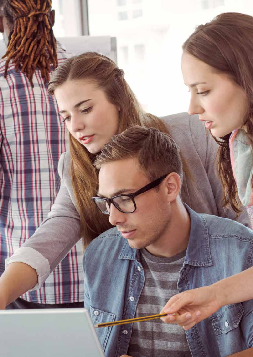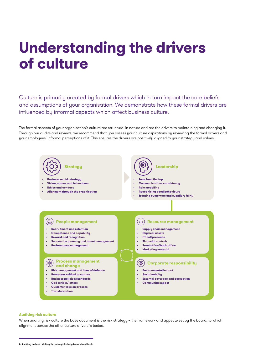# **Understanding the drivers of culture**

Culture is primarily created by formal drivers which in turn impact the core beliefs and assumptions of your organisation. We demonstrate how these formal drivers are influenced by informal aspects which affect business culture.

The formal aspects of your organisation's culture are structural in nature and are the drivers to maintaining and changing it. Through our audits and reviews, we recommend that you assess your culture aspirations by reviewing the formal drivers and your employees' informal perceptions of it. This ensures the drivers are positively aligned to your strategy and values.



### **Auditing risk culture**

When auditing risk culture the base document is the risk strategy – the framework and appetite set by the board, to which alignment across the other culture drivers is tested.

**<sup>6</sup>** Auditing culture - Making the intangible, tangible and auditable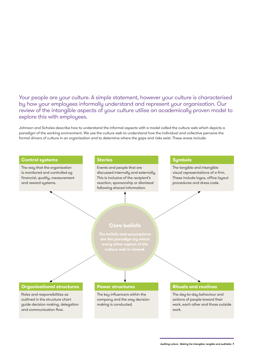## Your people are your culture. A simple statement, however your culture is characterised by how your employees informally understand and represent your organisation. Our review of the intangible aspects of your culture utilise an academically proven model to explore this with employees.

Johnson and Scholes describe how to understand the informal aspects with a model called the culture web which depicts a paradigm of the working environment. We use the culture web to understand how the individual and collective perceive the formal drivers of culture in an organisation and to determine where the gaps and risks exist. These areas include:

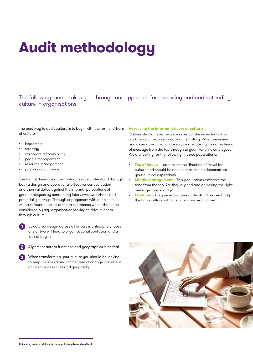# **Audit methodology**

The following model takes you through our approach for assessing and understanding culture in organisations.

The best way to audit culture is to begin with the formal drivers of culture:

- leadership
- strategy
- corporate responsibility
- people management
- resource management
- process and change.

The formal drivers and their outcomes are understood through both a design and operational effectiveness evaluation and then validated against the informal perceptions of your employees by conducting interviews, workshops and potentially surveys. Through engagement with our clients we have found a series of recurring themes which should be considered by any organisation looking to drive success through culture:

- Structured design across all drivers is critical. To choose **1** one or two will lead to organisational confusion and a lack of buy in.
- **2**

**3**

Alignment across functions and geographies is critical.

When transforming your culture you should be looking to keep the speed and momentum of change consistent across business lines and geography.

#### **Assessing the informal drivers of culture**

Culture should never be an accident of the individuals who work for your organisation, or of its history. When we review and assess the informal drivers, we are looking for consistency of message from the top through to your front line employees. We are looking for the following in three populations:

- • **Top of house** Leaders set the direction of travel for culture and should be able to consistently demonstrate your cultural aspirations
- **Middle management** This population reinforces the tone from the top. Are they aligned and delivering the right message consistently?
- **Frontline** Do your employees understand and embody the firm's culture with customers and each other?



**<sup>8</sup>** Auditing culture - Making the intangible, tangible and auditable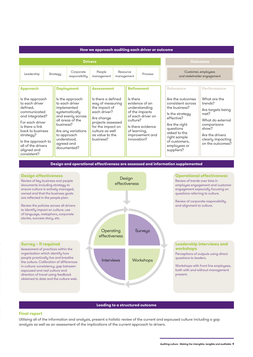| How we approach auditing each driver or outcome                                                                                                                                                                                                      |                                         |                                                                                                                                                                                                     |                                                                                                                                                                                                         |  |                      |                                                                                                                                                                    |                                                   |                                                                                                                                                                                                                          |                                                                                                                                                                                    |  |  |  |
|------------------------------------------------------------------------------------------------------------------------------------------------------------------------------------------------------------------------------------------------------|-----------------------------------------|-----------------------------------------------------------------------------------------------------------------------------------------------------------------------------------------------------|---------------------------------------------------------------------------------------------------------------------------------------------------------------------------------------------------------|--|----------------------|--------------------------------------------------------------------------------------------------------------------------------------------------------------------|---------------------------------------------------|--------------------------------------------------------------------------------------------------------------------------------------------------------------------------------------------------------------------------|------------------------------------------------------------------------------------------------------------------------------------------------------------------------------------|--|--|--|
| <b>Drivers</b>                                                                                                                                                                                                                                       |                                         |                                                                                                                                                                                                     |                                                                                                                                                                                                         |  |                      |                                                                                                                                                                    |                                                   | <b>Outcomes</b>                                                                                                                                                                                                          |                                                                                                                                                                                    |  |  |  |
| Leadership                                                                                                                                                                                                                                           | Corporate<br>Strategy<br>responsibility |                                                                                                                                                                                                     | People<br>Resource<br>Process<br>management<br>management                                                                                                                                               |  |                      |                                                                                                                                                                    | Customer, employees<br>and stakeholder engagement |                                                                                                                                                                                                                          |                                                                                                                                                                                    |  |  |  |
| <b>Approach</b><br>Is the approach<br>to each driver<br>defined.<br>communicated<br>and integrated?<br>For each driver<br>is there a link<br>back to business<br>strategy?<br>Is the approach to<br>all of the drivers<br>aligned and<br>consistent? | business?<br>agreed and                 | <b>Deployment</b><br>Is the approach<br>to each driver<br>implemented<br>systematically<br>and evenly across<br>all areas of the<br>Are any variations<br>to approach<br>understood,<br>documented? | <b>Assessment</b><br>Is there a defined<br>way of measuring<br>the impact of<br>each driver?<br>Are change<br>projects assessed<br>for the impact on<br>culture as well<br>as value to the<br>business? |  | Is there<br>culture? | <b>Refinement</b><br>evidence of an<br>understanding<br>of the impacts<br>of each driver on<br>Is there evidence<br>of learning,<br>improvement and<br>innovation? |                                                   | <b>Relevance</b><br>Are the outcomes<br>consistent across<br>the business?<br>Is the strategy<br>effective?<br>Are the right<br>questions<br>asked to the<br>right sample<br>of customers,<br>employees or<br>suppliers? | <b>Performance</b><br>What are the<br>trends?<br>Are targets being<br>met?<br>What do external<br>comparisons<br>show?<br>Are the drivers<br>clearly impacting<br>on the outcomes? |  |  |  |

**Design and operational effectiveness are assessed and information supplemented**



#### **Leading to a structured outcome**

#### **Final report**

Utilising all of the information and analysis, present a holistic review of the current and espoused culture including a gap analysis as well as an assessment of the implications of the current approach to drivers.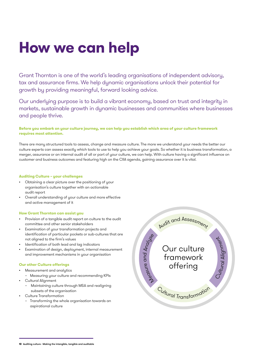# **How we can help**

Grant Thornton is one of the world's leading organisations of independent advisory, tax and assurance firms. We help dynamic organisations unlock their potential for growth by providing meaningful, forward looking advice.

Our underlying purpose is to build a vibrant economy, based on trust and integrity in markets, sustainable growth in dynamic businesses and communities where businesses and people thrive.

### **Before you embark on your culture journey, we can help you establish which area of your culture framework requires most attention.**

There are many structured tools to assess, change and measure culture. The more we understand your needs the better our culture experts can assess exactly which tools to use to help you achieve your goals. So whether it is business transformation, a merger, assurance or an internal audit of all or part of your culture, we can help. With culture having a significant influence on customer and business outcomes and featuring high on the CIIA agenda, gaining assurance over it is vital.

### **Auditing Culture – your challenges**

- Obtaining a clear picture over the positioning of your organisation's culture together with an actionable audit report
- Overall understanding of your culture and more effective and active management of it

#### **How Grant Thornton can assist you**

- Provision of a tangible audit report on culture to the audit committee and other senior stakeholders
- Examination of your transformation projects and identification of particular pockets or sub-cultures that are not aligned to the firm's values
- Identification of both lead and lag indicators
- Examination of design, deployment, internal measurement and improvement mechanisms in your organisation

### **Our other Culture offerings**

- Measurement and analytics
	- Measuring your culture and recommending KPIs
- Cultural Alignment
	- Maintaining culture through M&A and realigning subsets of the organisation
- Culture Transformation
	- Transforming the whole organisation towards an aspirational culture

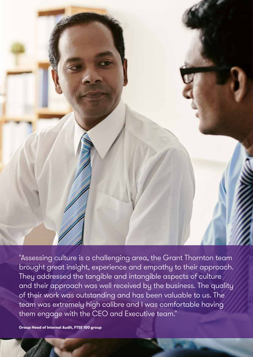

"Assessing culture is a challenging area, the Grant Thornton team brought great insight, experience and empathy to their approach. They addressed the tangible and intangible aspects of culture and their approach was well received by the business. The quality of their work was outstanding and has been valuable to us. The team was extremely high calibre and I was comfortable having them engage with the CEO and Executive team."

Auditing culture - Making the intangible, tangible and auditable **11**

**Group Head of Internal Audit, FTSE 100 group**